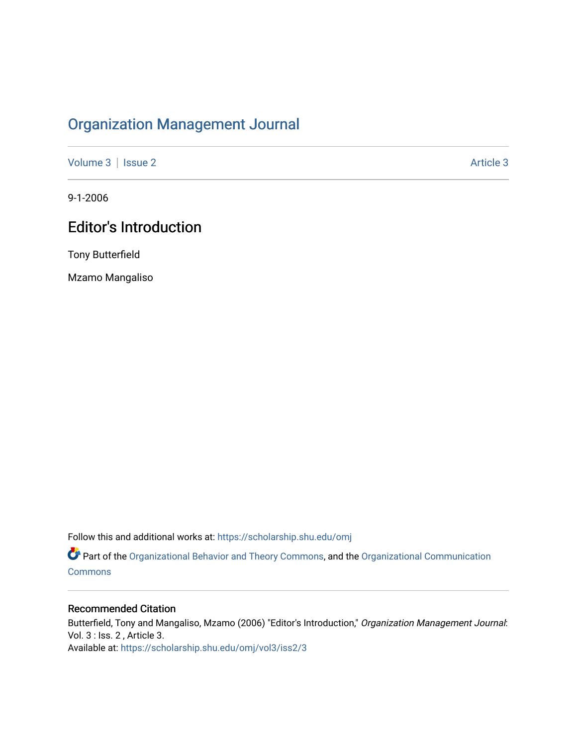## [Organization Management Journal](https://scholarship.shu.edu/omj)

[Volume 3](https://scholarship.shu.edu/omj/vol3) | [Issue 2](https://scholarship.shu.edu/omj/vol3/iss2) Article 3

9-1-2006

## Editor's Introduction

Tony Butterfield

Mzamo Mangaliso

Follow this and additional works at: [https://scholarship.shu.edu/omj](https://scholarship.shu.edu/omj?utm_source=scholarship.shu.edu%2Fomj%2Fvol3%2Fiss2%2F3&utm_medium=PDF&utm_campaign=PDFCoverPages) 

Part of the [Organizational Behavior and Theory Commons,](http://network.bepress.com/hgg/discipline/639?utm_source=scholarship.shu.edu%2Fomj%2Fvol3%2Fiss2%2F3&utm_medium=PDF&utm_campaign=PDFCoverPages) and the [Organizational Communication](http://network.bepress.com/hgg/discipline/335?utm_source=scholarship.shu.edu%2Fomj%2Fvol3%2Fiss2%2F3&utm_medium=PDF&utm_campaign=PDFCoverPages) [Commons](http://network.bepress.com/hgg/discipline/335?utm_source=scholarship.shu.edu%2Fomj%2Fvol3%2Fiss2%2F3&utm_medium=PDF&utm_campaign=PDFCoverPages)

## Recommended Citation

Butterfield, Tony and Mangaliso, Mzamo (2006) "Editor's Introduction," Organization Management Journal: Vol. 3 : Iss. 2 , Article 3. Available at: [https://scholarship.shu.edu/omj/vol3/iss2/3](https://scholarship.shu.edu/omj/vol3/iss2/3?utm_source=scholarship.shu.edu%2Fomj%2Fvol3%2Fiss2%2F3&utm_medium=PDF&utm_campaign=PDFCoverPages)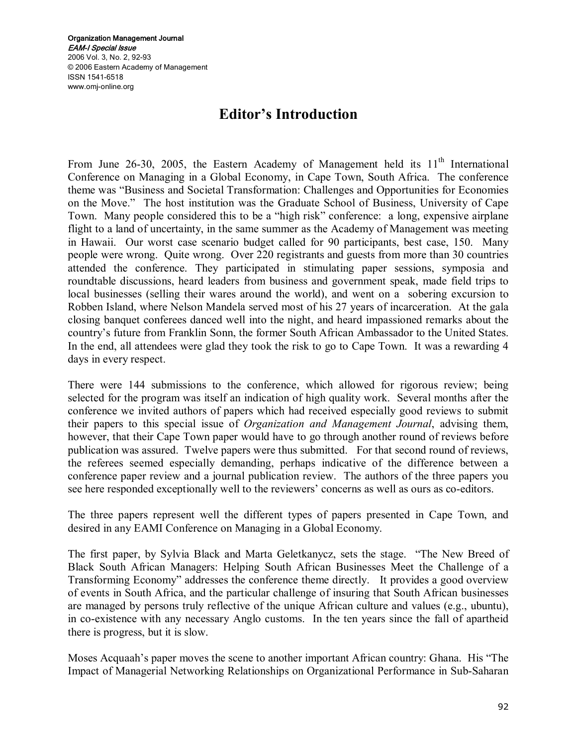Organization Management Journal **EAM-I Special Issue** 2006 Vol. 3, No. 2, 92-93 © 2006 Eastern Academy of Management **ISSN 1541-6518** www.omj-online.org

## **Editor's Introduction**

From June 26-30, 2005, the Eastern Academy of Management held its  $11<sup>th</sup>$  International Conference on Managing in a Global Economy, in Cape Town, South Africa. The conference theme was "Business and Societal Transformation: Challenges and Opportunities for Economies on the Move." The host institution was the Graduate School of Business, University of Cape Town. Many people considered this to be a "high risk" conference: a long, expensive airplane flight to a land of uncertainty, in the same summer as the Academy of Management was meeting in Hawaii. Our worst case scenario budget called for 90 participants, best case, 150. Many people were wrong. Quite wrong. Over 220 registrants and guests from more than 30 countries attended the conference. They participated in stimulating paper sessions, symposia and roundtable discussions, heard leaders from business and government speak, made field trips to local businesses (selling their wares around the world), and went on a sobering excursion to Robben Island, where Nelson Mandela served most of his 27 years of incarceration. At the gala closing banquet conferees danced well into the night, and heard impassioned remarks about the country's future from Franklin Sonn, the former South African Ambassador to the United States. In the end, all attendees were glad they took the risk to go to Cape Town. It was a rewarding 4 days in every respect.

There were 144 submissions to the conference, which allowed for rigorous review; being selected for the program was itself an indication of high quality work. Several months after the conference we invited authors of papers which had received especially good reviews to submit their papers to this special issue of *Organization and Management Journal*, advising them, however, that their Cape Town paper would have to go through another round of reviews before publication was assured. Twelve papers were thus submitted. For that second round of reviews, the referees seemed especially demanding, perhaps indicative of the difference between a conference paper review and a journal publication review. The authors of the three papers you see here responded exceptionally well to the reviewers' concerns as well as ours as co-editors.

The three papers represent well the different types of papers presented in Cape Town, and desired in any EAMI Conference on Managing in a Global Economy.

The first paper, by Sylvia Black and Marta Geletkanycz, sets the stage. "The New Breed of Black South African Managers: Helping South African Businesses Meet the Challenge of a Transforming Economy" addresses the conference theme directly. It provides a good overview of events in South Africa, and the particular challenge of insuring that South African businesses are managed by persons truly reflective of the unique African culture and values (e.g., ubuntu), in co-existence with any necessary Anglo customs. In the ten years since the fall of apartheid there is progress, but it is slow.

Moses Acquaah's paper moves the scene to another important African country: Ghana. His "The Impact of Managerial Networking Relationships on Organizational Performance in Sub-Saharan